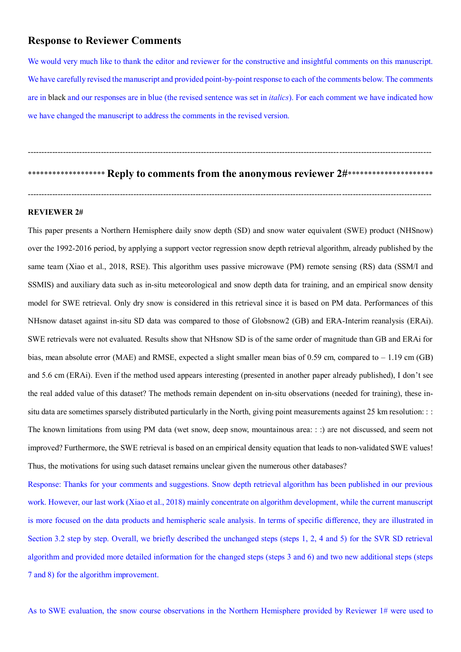# **Response to Reviewer Comments**

We would very much like to thank the editor and reviewer for the constructive and insightful comments on this manuscript. We have carefully revised the manuscript and provided point-by-point response to each of the comments below. The comments are in black and our responses are in blue (the revised sentence was set in *italics*). For each comment we have indicated how we have changed the manuscript to address the comments in the revised version.

\*\*\*\*\*\*\*\*\*\*\*\*\*\*\*\*\*\*\* **Reply to comments from the anonymous reviewer 2#**\*\*\*\*\*\*\*\*\*\*\*\*\*\*\*\*\*\*\*\*\*

-----------------------------------------------------------------------------------------------------------------------------------------------------

-----------------------------------------------------------------------------------------------------------------------------------------------------

#### **REVIEWER 2#**

This paper presents a Northern Hemisphere daily snow depth (SD) and snow water equivalent (SWE) product (NHSnow) over the 1992-2016 period, by applying a support vector regression snow depth retrieval algorithm, already published by the same team (Xiao et al., 2018, RSE). This algorithm uses passive microwave (PM) remote sensing (RS) data (SSM/I and SSMIS) and auxiliary data such as in-situ meteorological and snow depth data for training, and an empirical snow density model for SWE retrieval. Only dry snow is considered in this retrieval since it is based on PM data. Performances of this NHsnow dataset against in-situ SD data was compared to those of Globsnow2 (GB) and ERA-Interim reanalysis (ERAi). SWE retrievals were not evaluated. Results show that NHsnow SD is of the same order of magnitude than GB and ERAi for bias, mean absolute error (MAE) and RMSE, expected a slight smaller mean bias of 0.59 cm, compared to  $-1.19$  cm (GB) and 5.6 cm (ERAi). Even if the method used appears interesting (presented in another paper already published), I don't see the real added value of this dataset? The methods remain dependent on in-situ observations (needed for training), these insitu data are sometimes sparsely distributed particularly in the North, giving point measurements against 25 km resolution: : : The known limitations from using PM data (wet snow, deep snow, mountainous area: : :) are not discussed, and seem not improved? Furthermore, the SWE retrieval is based on an empirical density equation that leads to non-validated SWE values! Thus, the motivations for using such dataset remains unclear given the numerous other databases?

Response: Thanks for your comments and suggestions. Snow depth retrieval algorithm has been published in our previous work. However, our last work (Xiao et al., 2018) mainly concentrate on algorithm development, while the current manuscript is more focused on the data products and hemispheric scale analysis. In terms of specific difference, they are illustrated in Section 3.2 step by step. Overall, we briefly described the unchanged steps (steps 1, 2, 4 and 5) for the SVR SD retrieval algorithm and provided more detailed information for the changed steps (steps 3 and 6) and two new additional steps (steps 7 and 8) for the algorithm improvement.

As to SWE evaluation, the snow course observations in the Northern Hemisphere provided by Reviewer 1# were used to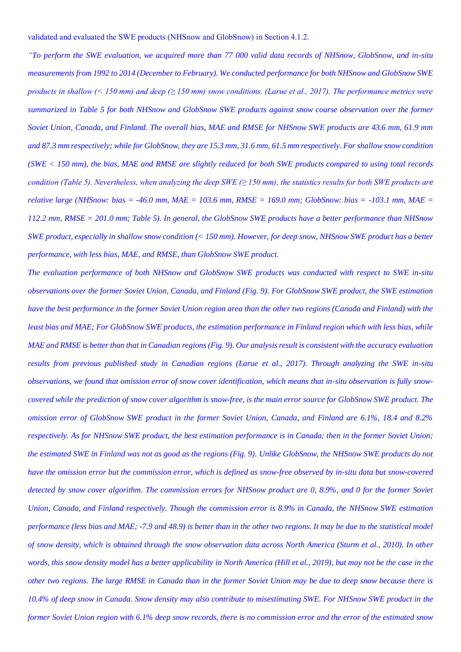validated and evaluated the SWE products (NHSnow and GlobSnow) in Section 4.1.2.

*"To perform the SWE evaluation, we acquired more than 77 000 valid data records of NHSnow, GlobSnow, and in-situ measurements from 1992 to 2014 (December to February). We conducted performance for both NHSnow and GlobSnow SWE products in shallow (< 150 mm) and deep (* $\geq$  *150 mm) snow conditions. (Larue et al., 2017). The performance metrics were summarized in Table 5 for both NHSnow and GlobSnow SWE products against snow course observation over the former Soviet Union, Canada, and Finland. The overall bias, MAE and RMSE for NHSnow SWE products are 43.6 mm, 61.9 mm and 87.3 mm respectively; while for GlobSnow, they are 15.3 mm, 31.6 mm, 61.5 mm respectively. For shallow snow condition (SWE < 150 mm), the bias, MAE and RMSE are slightly reduced for both SWE products compared to using total records condition (Table 5). Nevertheless, when analyzing the deep SWE (≥ 150 mm), the statistics results for both SWE products are relative large (NHSnow: bias = -46.0 mm, MAE = 103.6 mm, RMSE = 169.0 mm; GlobSnow: bias = -103.1 mm, MAE = 112.2 mm, RMSE = 201.0 mm; Table 5). In general, the GlobSnow SWE products have a better performance than NHSnow SWE product, especially in shallow snow condition (< 150 mm). However, for deep snow, NHSnow SWE product has a better performance, with less bias, MAE, and RMSE, than GlobSnow SWE product.* 

*The evaluation performance of both NHSnow and GlobSnow SWE products was conducted with respect to SWE in-situ observations over the former Soviet Union, Canada, and Finland (Fig. 9). For GlobSnow SWE product, the SWE estimation have the best performance in the former Soviet Union region area than the other two regions (Canada and Finland) with the least bias and MAE; For GlobSnow SWE products, the estimation performance in Finland region which with less bias, while MAE and RMSE is better than that in Canadian regions (Fig. 9). Our analysis result is consistent with the accuracy evaluation results from previous published study in Canadian regions (Larue et al., 2017). Through analyzing the SWE in-situ observations, we found that omission error of snow cover identification, which means that in-situ observation is fully snowcovered while the prediction of snow cover algorithm is snow-free, is the main error source for GlobSnow SWE product. The omission error of GlobSnow SWE product in the former Soviet Union, Canada, and Finland are 6.1%, 18.4 and 8.2% respectively. As for NHSnow SWE product, the best estimation performance is in Canada; then in the former Soviet Union; the estimated SWE in Finland was not as good as the regions (Fig. 9). Unlike GlobSnow, the NHSnow SWE products do not have the omission error but the commission error, which is defined as snow-free observed by in-situ data but snow-covered detected by snow cover algorithm. The commission errors for NHSnow product are 0, 8.9%, and 0 for the former Soviet Union, Canada, and Finland respectively. Though the commission error is 8.9% in Canada, the NHSnow SWE estimation performance (less bias and MAE; -7.9 and 48.9) is better than in the other two regions. It may be due to the statistical model of snow density, which is obtained through the snow observation data across North America (Sturm et al., 2010). In other words, this snow density model has a better applicability in North America (Hill et al., 2019), but may not be the case in the other two regions. The large RMSE in Canada than in the former Soviet Union may be due to deep snow because there is 10.4% of deep snow in Canada. Snow density may also contribute to misestimating SWE. For NHSnow SWE product in the former Soviet Union region with 6.1% deep snow records, there is no commission error and the error of the estimated snow*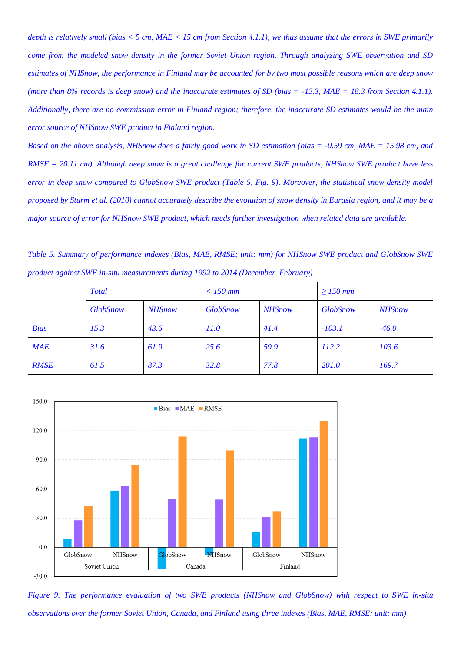*depth is relatively small (bias < 5 cm, MAE < 15 cm from Section 4.1.1), we thus assume that the errors in SWE primarily come from the modeled snow density in the former Soviet Union region. Through analyzing SWE observation and SD estimates of NHSnow, the performance in Finland may be accounted for by two most possible reasons which are deep snow (more than 8% records is deep snow) and the inaccurate estimates of SD (bias = -13.3, MAE = 18.3 from Section 4.1.1). Additionally, there are no commission error in Finland region; therefore, the inaccurate SD estimates would be the main error source of NHSnow SWE product in Finland region.*

*Based on the above analysis, NHSnow does a fairly good work in SD estimation (bias = -0.59 cm, MAE = 15.98 cm, and RMSE = 20.11 cm). Although deep snow is a great challenge for current SWE products, NHSnow SWE product have less error in deep snow compared to GlobSnow SWE product (Table 5, Fig. 9). Moreover, the statistical snow density model proposed by Sturm et al. (2010) cannot accurately describe the evolution of snow density in Eurasia region, and it may be a major source of error for NHSnow SWE product, which needs further investigation when related data are available.*

*Table 5. Summary of performance indexes (Bias, MAE, RMSE; unit: mm) for NHSnow SWE product and GlobSnow SWE product against SWE in-situ measurements during 1992 to 2014 (December–February)*

|             | <b>Total</b>    |               | $<$ 150 mm      |               | $\geq$ 150 mm   |               |
|-------------|-----------------|---------------|-----------------|---------------|-----------------|---------------|
|             | <b>GlobSnow</b> | <b>NHSnow</b> | <b>GlobSnow</b> | <b>NHSnow</b> | <b>GlobSnow</b> | <b>NHSnow</b> |
| <b>Bias</b> | 15.3            | 43.6          | 11.0            | 41.4          | $-103.1$        | $-46.0$       |
| <b>MAE</b>  | 31.6            | 61.9          | 25.6            | 59.9          | 112.2           | 103.6         |
| <b>RMSE</b> | 61.5            | 87.3          | 32.8            | 77.8          | 201.0           | 169.7         |



*Figure 9. The performance evaluation of two SWE products (NHSnow and GlobSnow) with respect to SWE in-situ observations over the former Soviet Union, Canada, and Finland using three indexes (Bias, MAE, RMSE; unit: mm)*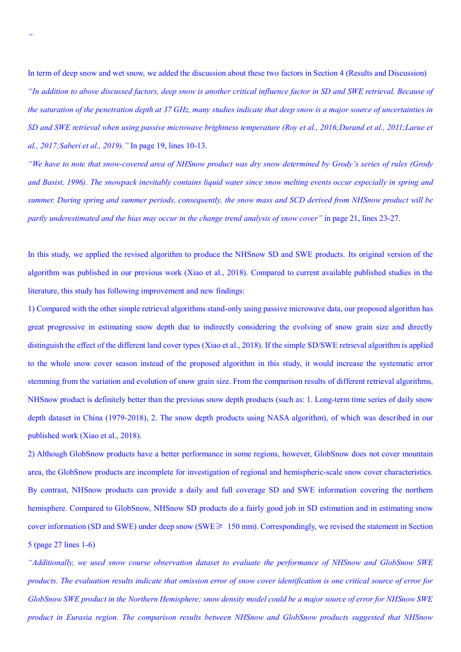In term of deep snow and wet snow, we added the discussion about these two factors in Section 4 (Results and Discussion) *"In addition to above discussed factors, deep snow is another critical influence factor in SD and SWE retrieval. Because of the saturation of the penetration depth at 37 GHz, many studies indicate that deep snow is a major source of uncertainties in SD and SWE retrieval when using passive microwave brightness temperature (Roy et al., 2016;Durand et al., 2011;Larue et al., 2017;Saberi et al., 2019)."* In page 19, lines 10-13.

*"We have to note that snow-covered area of NHSnow product was dry snow determined by Grody's series of rules (Grody and Basist, 1996). The snowpack inevitably contains liquid water since snow melting events occur especially in spring and summer. During spring and summer periods, consequently, the snow mass and SCD derived from NHSnow product will be partly underestimated and the bias may occur in the change trend analysis of snow cover"* in page 21, lines 23-27.

In this study, we applied the revised algorithm to produce the NHSnow SD and SWE products. Its original version of the algorithm was published in our previous work (Xiao et al., 2018). Compared to current available published studies in the literature, this study has following improvement and new findings:

1) Compared with the other simple retrieval algorithms stand-only using passive microwave data, our proposed algorithm has great progressive in estimating snow depth due to indirectly considering the evolving of snow grain size and directly distinguish the effect of the different land cover types (Xiao et al., 2018). If the simple SD/SWE retrieval algorithm is applied to the whole snow cover season instead of the proposed algorithm in this study, it would increase the systematic error stemming from the variation and evolution of snow grain size. From the comparison results of different retrieval algorithms, NHSnow product is definitely better than the previous snow depth products (such as: 1. Long-term time series of daily snow depth dataset in China (1979-2018), 2. The snow depth products using NASA algorithm), of which was described in our published work (Xiao et al., 2018).

2) Although GlobSnow products have a better performance in some regions, however, GlobSnow does not cover mountain area, the GlobSnow products are incomplete for investigation of regional and hemispheric-scale snow cover characteristics. By contrast, NHSnow products can provide a daily and full coverage SD and SWE information covering the northern hemisphere. Compared to GlobSnow, NHSnow SD products do a fairly good job in SD estimation and in estimating snow cover information (SD and SWE) under deep snow (SWE≥ 150 mm). Correspondingly, we revised the statement in Section 5 (page 27 lines 1-6)

*"Additionally, we used snow course observation dataset to evaluate the performance of NHSnow and GlobSnow SWE products. The evaluation results indicate that omission error of snow cover identification is one critical source of error for GlobSnow SWE product in the Northern Hemisphere; snow density model could be a major source of error for NHSnow SWE product in Eurasia region. The comparison results between NHSnow and GlobSnow products suggested that NHSnow*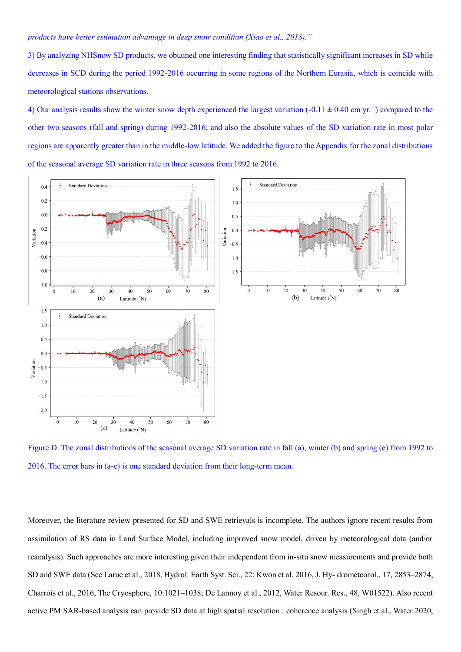#### *products have better estimation advantage in deep snow condition (Xiao et al., 2018)."*

3) By analyzing NHSnow SD products, we obtained one interesting finding that statistically significant increases in SD while decreases in SCD during the period 1992-2016 occurring in some regions of the Northern Eurasia, which is coincide with meteorological stations observations.

4) Our analysis results show the winter snow depth experienced the largest variation  $(-0.11 \pm 0.40 \text{ cm yr}^{-1})$  compared to the other two seasons (fall and spring) during 1992-2016; and also the absolute values of the SD variation rate in most polar regions are apparently greater than in the middle-low latitude. We added the figure to the Appendix for the zonal distributions of the seasonal average SD variation rate in three seasons from 1992 to 2016.



Figure D. The zonal distributions of the seasonal average SD variation rate in fall (a), winter (b) and spring (c) from 1992 to 2016. The error bars in (a-c) is one standard deviation from their long-term mean.

Moreover, the literature review presented for SD and SWE retrievals is incomplete. The authors ignore recent results from assimilation of RS data in Land Surface Model, including improved snow model, driven by meteorological data (and/or reanalysis). Such approaches are more interesting given their independent from in-situ snow measurements and provide both SD and SWE data (See Larue et al., 2018, Hydrol. Earth Syst. Sci., 22; Kwon et al. 2016, J. Hy- drometeorol., 17, 2853–2874; Charrois et al., 2016, The Cryosphere, 10:1021–1038; De Lannoy et al., 2012, Water Resour. Res., 48, W01522). Also recent active PM SAR-based analysis can provide SD data at high spatial resolution : coherence analysis (Singh et al., Water 2020,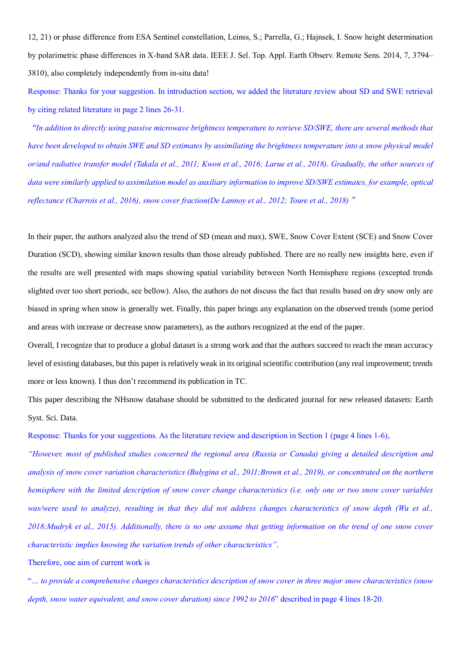12, 21) or phase difference from ESA Sentinel constellation, Leinss, S.; Parrella, G.; Hajnsek, I. Snow height determination by polarimetric phase differences in X-band SAR data. IEEE J. Sel. Top. Appl. Earth Observ. Remote Sens. 2014, 7, 3794– 3810), also completely independently from in-situ data!

Response: Thanks for your suggestion. In introduction section, we added the literature review about SD and SWE retrieval by citing related literature in page 2 lines 26-31.

"*In addition to directly using passive microwave brightness temperature to retrieve SD/SWE, there are several methods that have been developed to obtain SWE and SD estimates by assimilating the brightness temperature into a snow physical model or/and radiative transfer model (Takala et al., 2011; Kwon et al., 2016; Larue et al., 2018). Gradually, the other sources of data were similarly applied to assimilation model as auxiliary information to improve SD/SWE estimates, for example, optical reflectance (Charrois et al., 2016), snow cover fraction(De Lannoy et al., 2012; Toure et al., 2018)*"

In their paper, the authors analyzed also the trend of SD (mean and max), SWE, Snow Cover Extent (SCE) and Snow Cover Duration (SCD), showing similar known results than those already published. There are no really new insights here, even if the results are well presented with maps showing spatial variability between North Hemisphere regions (excepted trends slighted over too short periods, see bellow). Also, the authors do not discuss the fact that results based on dry snow only are biased in spring when snow is generally wet. Finally, this paper brings any explanation on the observed trends (some period and areas with increase or decrease snow parameters), as the authors recognized at the end of the paper.

Overall, I recognize that to produce a global dataset is a strong work and that the authors succeed to reach the mean accuracy level of existing databases, but this paper is relatively weak in its original scientific contribution (any real improvement; trends more or less known). I thus don't recommend its publication in TC.

This paper describing the NHsnow database should be submitted to the dedicated journal for new released datasets: Earth Syst. Sci. Data.

Response: Thanks for your suggestions. As the literature review and description in Section 1 (page 4 lines 1-6),

*"However, most of published studies concerned the regional area (Russia or Canada) giving a detailed description and analysis of snow cover variation characteristics (Bulygina et al., 2011;Brown et al., 2019), or concentrated on the northern hemisphere with the limited description of snow cover change characteristics (i.e. only one or two snow cover variables was/were used to analyze), resulting in that they did not address changes characteristics of snow depth (Wu et al., 2018;Mudryk et al., 2015). Additionally, there is no one assume that getting information on the trend of one snow cover characteristic implies knowing the variation trends of other characteristics"*.

Therefore, one aim of current work is

"*… to provide a comprehensive changes characteristics description of snow cover in three major snow characteristics (snow depth, snow water equivalent, and snow cover duration) since 1992 to 2016*" described in page 4 lines 18-20.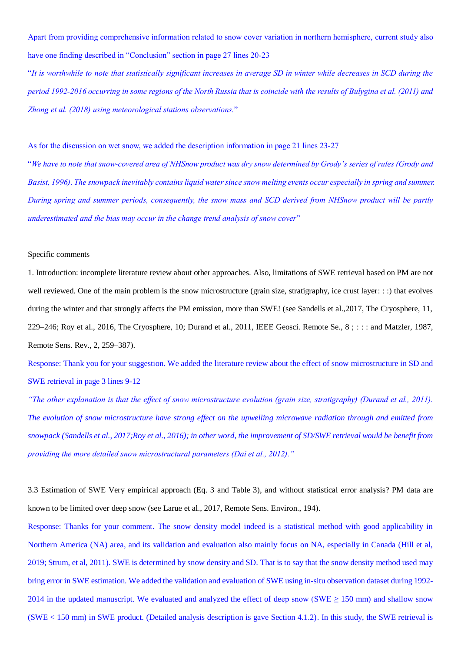Apart from providing comprehensive information related to snow cover variation in northern hemisphere, current study also have one finding described in "Conclusion" section in page 27 lines 20-23

"*It is worthwhile to note that statistically significant increases in average SD in winter while decreases in SCD during the period 1992-2016 occurring in some regions of the North Russia that is coincide with the results of Bulygina et al. (2011) and Zhong et al. (2018) using meteorological stations observations.*"

As for the discussion on wet snow, we added the description information in page 21 lines 23-27

"*We have to note that snow-covered area of NHSnow product was dry snow determined by Grody's series of rules (Grody and Basist, 1996). The snowpack inevitably contains liquid water since snow melting events occur especially in spring and summer. During spring and summer periods, consequently, the snow mass and SCD derived from NHSnow product will be partly underestimated and the bias may occur in the change trend analysis of snow cover*"

## Specific comments

1. Introduction: incomplete literature review about other approaches. Also, limitations of SWE retrieval based on PM are not well reviewed. One of the main problem is the snow microstructure (grain size, stratigraphy, ice crust layer: : :) that evolves during the winter and that strongly affects the PM emission, more than SWE! (see Sandells et al.,2017, The Cryosphere, 11, 229–246; Roy et al., 2016, The Cryosphere, 10; Durand et al., 2011, IEEE Geosci. Remote Se., 8 ; : : : and Matzler, 1987, Remote Sens. Rev., 2, 259–387).

Response: Thank you for your suggestion. We added the literature review about the effect of snow microstructure in SD and SWE retrieval in page 3 lines 9-12

*"The other explanation is that the effect of snow microstructure evolution (grain size, stratigraphy) (Durand et al., 2011). The evolution of snow microstructure have strong effect on the upwelling microwave radiation through and emitted from snowpack (Sandells et al., 2017;Roy et al., 2016); in other word, the improvement of SD/SWE retrieval would be benefit from providing the more detailed snow microstructural parameters (Dai et al., 2012)."*

3.3 Estimation of SWE Very empirical approach (Eq. 3 and Table 3), and without statistical error analysis? PM data are known to be limited over deep snow (see Larue et al., 2017, Remote Sens. Environ., 194).

Response: Thanks for your comment. The snow density model indeed is a statistical method with good applicability in Northern America (NA) area, and its validation and evaluation also mainly focus on NA, especially in Canada (Hill et al, 2019; Strum, et al, 2011). SWE is determined by snow density and SD. That is to say that the snow density method used may bring error in SWE estimation. We added the validation and evaluation of SWE using in-situ observation dataset during 1992- 2014 in the updated manuscript. We evaluated and analyzed the effect of deep snow (SWE  $\geq$  150 mm) and shallow snow (SWE < 150 mm) in SWE product. (Detailed analysis description is gave Section 4.1.2). In this study, the SWE retrieval is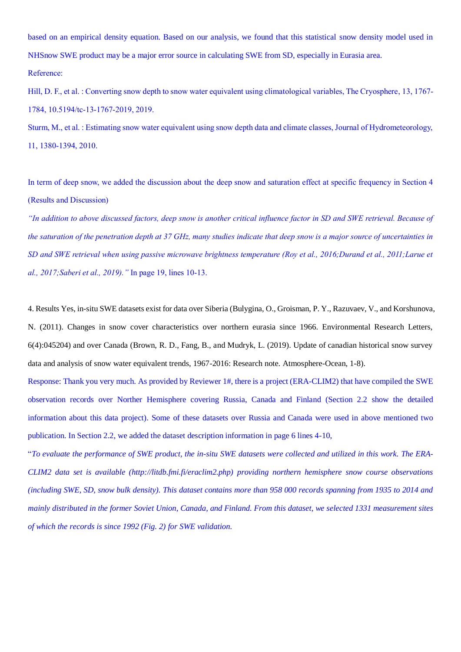based on an empirical density equation. Based on our analysis, we found that this statistical snow density model used in NHSnow SWE product may be a major error source in calculating SWE from SD, especially in Eurasia area. Reference:

Hill, D. F., et al. : Converting snow depth to snow water equivalent using climatological variables, The Cryosphere, 13, 1767- 1784, 10.5194/tc-13-1767-2019, 2019.

Sturm, M., et al. : Estimating snow water equivalent using snow depth data and climate classes, Journal of Hydrometeorology, 11, 1380-1394, 2010.

In term of deep snow, we added the discussion about the deep snow and saturation effect at specific frequency in Section 4 (Results and Discussion)

*"In addition to above discussed factors, deep snow is another critical influence factor in SD and SWE retrieval. Because of the saturation of the penetration depth at 37 GHz, many studies indicate that deep snow is a major source of uncertainties in SD and SWE retrieval when using passive microwave brightness temperature (Roy et al., 2016;Durand et al., 2011;Larue et al., 2017;Saberi et al., 2019)."* In page 19, lines 10-13.

4. Results Yes, in-situ SWE datasets exist for data over Siberia (Bulygina, O., Groisman, P. Y., Razuvaev, V., and Korshunova, N. (2011). Changes in snow cover characteristics over northern eurasia since 1966. Environmental Research Letters, 6(4):045204) and over Canada (Brown, R. D., Fang, B., and Mudryk, L. (2019). Update of canadian historical snow survey data and analysis of snow water equivalent trends, 1967-2016: Research note. Atmosphere-Ocean, 1-8).

Response: Thank you very much. As provided by Reviewer 1#, there is a project (ERA-CLIM2) that have compiled the SWE observation records over Norther Hemisphere covering Russia, Canada and Finland (Section 2.2 show the detailed information about this data project). Some of these datasets over Russia and Canada were used in above mentioned two publication. In Section 2.2, we added the dataset description information in page 6 lines 4-10,

"*To evaluate the performance of SWE product, the in-situ SWE datasets were collected and utilized in this work. The ERA-CLIM2 data set is available (http://litdb.fmi.fi/eraclim2.php) providing northern hemisphere snow course observations (including SWE, SD, snow bulk density). This dataset contains more than 958 000 records spanning from 1935 to 2014 and mainly distributed in the former Soviet Union, Canada, and Finland. From this dataset, we selected 1331 measurement sites of which the records is since 1992 (Fig. 2) for SWE validation.*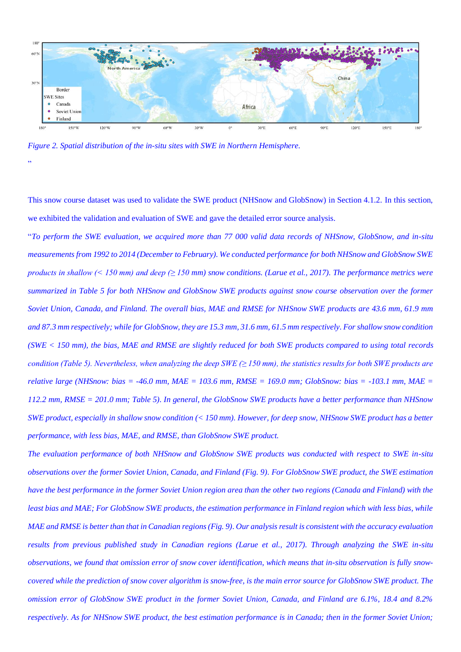

*Figure 2. Spatial distribution of the in-situ sites with SWE in Northern Hemisphere.*

"

This snow course dataset was used to validate the SWE product (NHSnow and GlobSnow) in Section 4.1.2. In this section, we exhibited the validation and evaluation of SWE and gave the detailed error source analysis.

"*To perform the SWE evaluation, we acquired more than 77 000 valid data records of NHSnow, GlobSnow, and in-situ measurements from 1992 to 2014 (December to February). We conducted performance for both NHSnow and GlobSnow SWE products in shallow (< 150 mm) and deep (≥ 150 mm) snow conditions. (Larue et al., 2017). The performance metrics were summarized in Table 5 for both NHSnow and GlobSnow SWE products against snow course observation over the former Soviet Union, Canada, and Finland. The overall bias, MAE and RMSE for NHSnow SWE products are 43.6 mm, 61.9 mm and 87.3 mm respectively; while for GlobSnow, they are 15.3 mm, 31.6 mm, 61.5 mm respectively. For shallow snow condition (SWE < 150 mm), the bias, MAE and RMSE are slightly reduced for both SWE products compared to using total records condition (Table 5). Nevertheless, when analyzing the deep SWE (≥ 150 mm), the statistics results for both SWE products are relative large (NHSnow: bias = -46.0 mm, MAE = 103.6 mm, RMSE = 169.0 mm; GlobSnow: bias = -103.1 mm, MAE = 112.2 mm, RMSE = 201.0 mm; Table 5). In general, the GlobSnow SWE products have a better performance than NHSnow SWE product, especially in shallow snow condition (< 150 mm). However, for deep snow, NHSnow SWE product has a better performance, with less bias, MAE, and RMSE, than GlobSnow SWE product.* 

*The evaluation performance of both NHSnow and GlobSnow SWE products was conducted with respect to SWE in-situ observations over the former Soviet Union, Canada, and Finland (Fig. 9). For GlobSnow SWE product, the SWE estimation have the best performance in the former Soviet Union region area than the other two regions (Canada and Finland) with the least bias and MAE; For GlobSnow SWE products, the estimation performance in Finland region which with less bias, while MAE and RMSE is better than that in Canadian regions (Fig. 9). Our analysis result is consistent with the accuracy evaluation results from previous published study in Canadian regions (Larue et al., 2017). Through analyzing the SWE in-situ observations, we found that omission error of snow cover identification, which means that in-situ observation is fully snowcovered while the prediction of snow cover algorithm is snow-free, is the main error source for GlobSnow SWE product. The omission error of GlobSnow SWE product in the former Soviet Union, Canada, and Finland are 6.1%, 18.4 and 8.2% respectively. As for NHSnow SWE product, the best estimation performance is in Canada; then in the former Soviet Union;*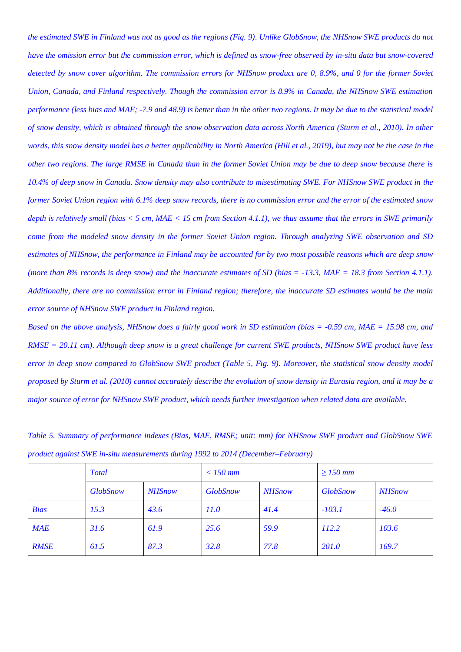*the estimated SWE in Finland was not as good as the regions (Fig. 9). Unlike GlobSnow, the NHSnow SWE products do not have the omission error but the commission error, which is defined as snow-free observed by in-situ data but snow-covered detected by snow cover algorithm. The commission errors for NHSnow product are 0, 8.9%, and 0 for the former Soviet Union, Canada, and Finland respectively. Though the commission error is 8.9% in Canada, the NHSnow SWE estimation performance (less bias and MAE; -7.9 and 48.9) is better than in the other two regions. It may be due to the statistical model of snow density, which is obtained through the snow observation data across North America (Sturm et al., 2010). In other words, this snow density model has a better applicability in North America (Hill et al., 2019), but may not be the case in the other two regions. The large RMSE in Canada than in the former Soviet Union may be due to deep snow because there is 10.4% of deep snow in Canada. Snow density may also contribute to misestimating SWE. For NHSnow SWE product in the former Soviet Union region with 6.1% deep snow records, there is no commission error and the error of the estimated snow depth is relatively small (bias < 5 cm, MAE < 15 cm from Section 4.1.1), we thus assume that the errors in SWE primarily come from the modeled snow density in the former Soviet Union region. Through analyzing SWE observation and SD estimates of NHSnow, the performance in Finland may be accounted for by two most possible reasons which are deep snow (more than 8% records is deep snow) and the inaccurate estimates of SD (bias = -13.3, MAE = 18.3 from Section 4.1.1). Additionally, there are no commission error in Finland region; therefore, the inaccurate SD estimates would be the main error source of NHSnow SWE product in Finland region.*

*Based on the above analysis, NHSnow does a fairly good work in SD estimation (bias = -0.59 cm, MAE = 15.98 cm, and RMSE = 20.11 cm). Although deep snow is a great challenge for current SWE products, NHSnow SWE product have less error in deep snow compared to GlobSnow SWE product (Table 5, Fig. 9). Moreover, the statistical snow density model proposed by Sturm et al. (2010) cannot accurately describe the evolution of snow density in Eurasia region, and it may be a major source of error for NHSnow SWE product, which needs further investigation when related data are available.*

*Table 5. Summary of performance indexes (Bias, MAE, RMSE; unit: mm) for NHSnow SWE product and GlobSnow SWE product against SWE in-situ measurements during 1992 to 2014 (December–February)*

|             | <b>Total</b>    |               | $<$ 150 mm      |               | $\geq$ 150 mm   |               |
|-------------|-----------------|---------------|-----------------|---------------|-----------------|---------------|
|             | <b>GlobSnow</b> | <b>NHSnow</b> | <b>GlobSnow</b> | <b>NHSnow</b> | <b>GlobSnow</b> | <b>NHSnow</b> |
| <b>Bias</b> | 15.3            | 43.6          | 11.0            | 41.4          | $-103.1$        | $-46.0$       |
| <b>MAE</b>  | 31.6            | 61.9          | 25.6            | 59.9          | 112.2           | 103.6         |
| <b>RMSE</b> | 61.5            | 87.3          | 32.8            | 77.8          | <b>201.0</b>    | 169.7         |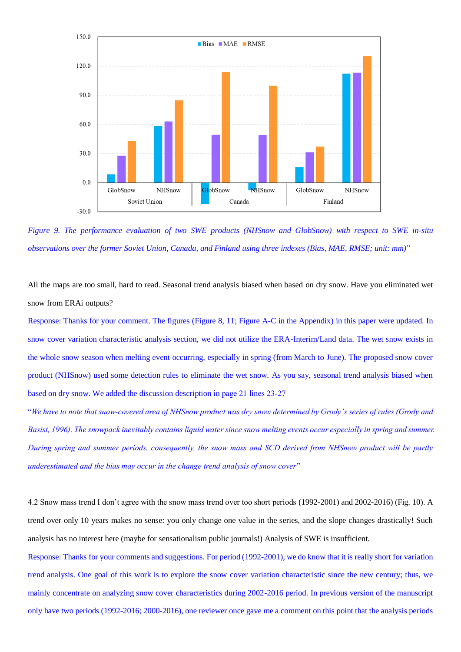

*Figure 9. The performance evaluation of two SWE products (NHSnow and GlobSnow) with respect to SWE in-situ observations over the former Soviet Union, Canada, and Finland using three indexes (Bias, MAE, RMSE; unit: mm)*"

All the maps are too small, hard to read. Seasonal trend analysis biased when based on dry snow. Have you eliminated wet snow from ERAi outputs?

Response: Thanks for your comment. The figures (Figure 8, 11; Figure A-C in the Appendix) in this paper were updated. In snow cover variation characteristic analysis section, we did not utilize the ERA-Interim/Land data. The wet snow exists in the whole snow season when melting event occurring, especially in spring (from March to June). The proposed snow cover product (NHSnow) used some detection rules to eliminate the wet snow. As you say, seasonal trend analysis biased when based on dry snow. We added the discussion description in page 21 lines 23-27

"*We have to note that snow-covered area of NHSnow product was dry snow determined by Grody's series of rules (Grody and Basist, 1996). The snowpack inevitably contains liquid water since snow melting events occur especially in spring and summer. During spring and summer periods, consequently, the snow mass and SCD derived from NHSnow product will be partly underestimated and the bias may occur in the change trend analysis of snow cover*"

4.2 Snow mass trend I don't agree with the snow mass trend over too short periods (1992-2001) and 2002-2016) (Fig. 10). A trend over only 10 years makes no sense: you only change one value in the series, and the slope changes drastically! Such analysis has no interest here (maybe for sensationalism public journals!) Analysis of SWE is insufficient.

Response: Thanks for your comments and suggestions. For period (1992-2001), we do know that it is really short for variation trend analysis. One goal of this work is to explore the snow cover variation characteristic since the new century; thus, we mainly concentrate on analyzing snow cover characteristics during 2002-2016 period. In previous version of the manuscript only have two periods (1992-2016; 2000-2016), one reviewer once gave me a comment on this point that the analysis periods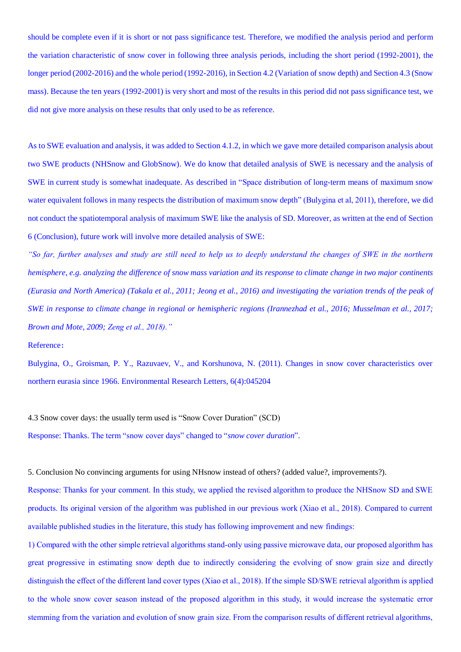should be complete even if it is short or not pass significance test. Therefore, we modified the analysis period and perform the variation characteristic of snow cover in following three analysis periods, including the short period (1992-2001), the longer period (2002-2016) and the whole period (1992-2016), in Section 4.2 (Variation of snow depth) and Section 4.3 (Snow mass). Because the ten years (1992-2001) is very short and most of the results in this period did not pass significance test, we did not give more analysis on these results that only used to be as reference.

As to SWE evaluation and analysis, it was added to Section 4.1.2, in which we gave more detailed comparison analysis about two SWE products (NHSnow and GlobSnow). We do know that detailed analysis of SWE is necessary and the analysis of SWE in current study is somewhat inadequate. As described in "Space distribution of long-term means of maximum snow water equivalent follows in many respects the distribution of maximum snow depth" (Bulygina et al, 2011), therefore, we did not conduct the spatiotemporal analysis of maximum SWE like the analysis of SD. Moreover, as written at the end of Section 6 (Conclusion), future work will involve more detailed analysis of SWE:

*"So far, further analyses and study are still need to help us to deeply understand the changes of SWE in the northern hemisphere, e.g. analyzing the difference of snow mass variation and its response to climate change in two major continents (Eurasia and North America) (Takala et al., 2011; Jeong et al., 2016) and investigating the variation trends of the peak of SWE in response to climate change in regional or hemispheric regions (Irannezhad et al., 2016; Musselman et al., 2017; Brown and Mote, 2009; Zeng et al., 2018)."*

### Reference:

Bulygina, O., Groisman, P. Y., Razuvaev, V., and Korshunova, N. (2011). Changes in snow cover characteristics over northern eurasia since 1966. Environmental Research Letters, 6(4):045204

4.3 Snow cover days: the usually term used is "Snow Cover Duration" (SCD)

Response: Thanks. The term "snow cover days" changed to "*snow cover duration*".

5. Conclusion No convincing arguments for using NHsnow instead of others? (added value?, improvements?).

Response: Thanks for your comment. In this study, we applied the revised algorithm to produce the NHSnow SD and SWE products. Its original version of the algorithm was published in our previous work (Xiao et al., 2018). Compared to current available published studies in the literature, this study has following improvement and new findings:

1) Compared with the other simple retrieval algorithms stand-only using passive microwave data, our proposed algorithm has great progressive in estimating snow depth due to indirectly considering the evolving of snow grain size and directly distinguish the effect of the different land cover types (Xiao et al., 2018). If the simple SD/SWE retrieval algorithm is applied to the whole snow cover season instead of the proposed algorithm in this study, it would increase the systematic error stemming from the variation and evolution of snow grain size. From the comparison results of different retrieval algorithms,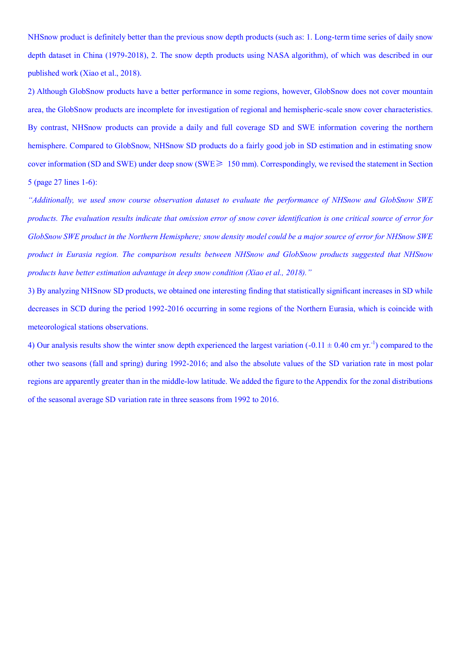NHSnow product is definitely better than the previous snow depth products (such as: 1. Long-term time series of daily snow depth dataset in China (1979-2018), 2. The snow depth products using NASA algorithm), of which was described in our published work (Xiao et al., 2018).

2) Although GlobSnow products have a better performance in some regions, however, GlobSnow does not cover mountain area, the GlobSnow products are incomplete for investigation of regional and hemispheric-scale snow cover characteristics. By contrast, NHSnow products can provide a daily and full coverage SD and SWE information covering the northern hemisphere. Compared to GlobSnow, NHSnow SD products do a fairly good job in SD estimation and in estimating snow cover information (SD and SWE) under deep snow (SWE≥ 150 mm). Correspondingly, we revised the statement in Section 5 (page 27 lines 1-6):

*"Additionally, we used snow course observation dataset to evaluate the performance of NHSnow and GlobSnow SWE products. The evaluation results indicate that omission error of snow cover identification is one critical source of error for GlobSnow SWE product in the Northern Hemisphere; snow density model could be a major source of error for NHSnow SWE product in Eurasia region. The comparison results between NHSnow and GlobSnow products suggested that NHSnow products have better estimation advantage in deep snow condition (Xiao et al., 2018)."*

3) By analyzing NHSnow SD products, we obtained one interesting finding that statistically significant increases in SD while decreases in SCD during the period 1992-2016 occurring in some regions of the Northern Eurasia, which is coincide with meteorological stations observations.

4) Our analysis results show the winter snow depth experienced the largest variation  $(-0.11 \pm 0.40 \text{ cm yr}^{-1})$  compared to the other two seasons (fall and spring) during 1992-2016; and also the absolute values of the SD variation rate in most polar regions are apparently greater than in the middle-low latitude. We added the figure to the Appendix for the zonal distributions of the seasonal average SD variation rate in three seasons from 1992 to 2016.